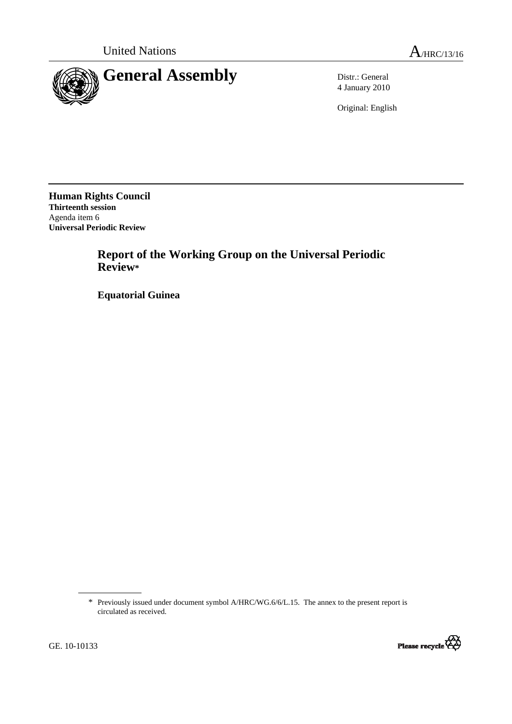

4 January 2010

Original: English

**Human Rights Council Thirteenth session**  Agenda item 6 **Universal Periodic Review** 

> **Report of the Working Group on the Universal Periodic Review\***

 **Equatorial Guinea** 

<sup>\*</sup> Previously issued under document symbol A/HRC/WG.6/6/L.15. The annex to the present report is circulated as received.

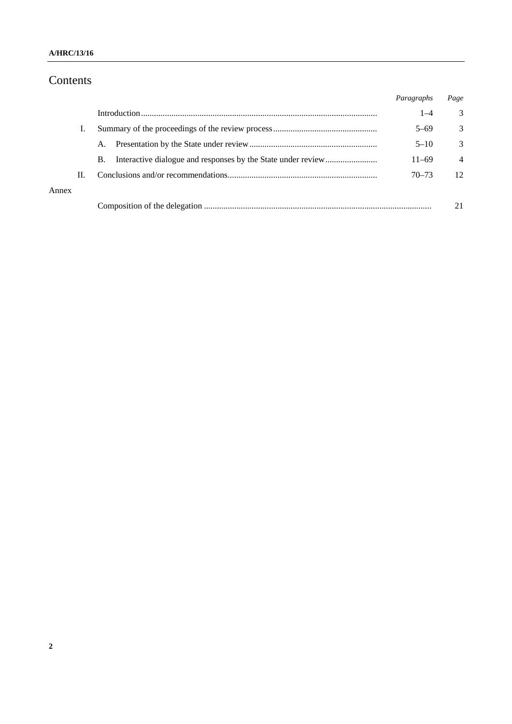### **A/HRC/13/16**

# Contents

|       |    |    | Paragraphs | Page           |
|-------|----|----|------------|----------------|
|       |    |    | $1 - 4$    | 3              |
|       |    |    | $5 - 69$   | $\mathcal{E}$  |
|       |    | A. | $5 - 10$   | 3              |
|       |    | В. | $11 - 69$  | $\overline{4}$ |
|       | Н. |    | $70 - 73$  | 12             |
| Annex |    |    |            |                |
|       |    |    |            |                |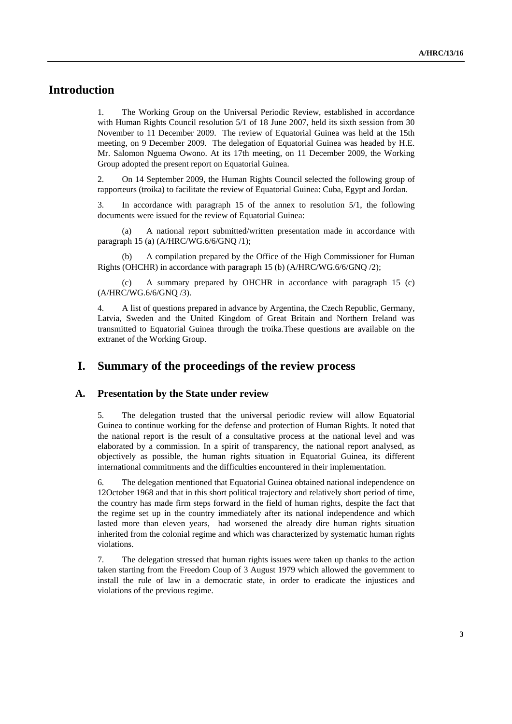## **Introduction**

1. The Working Group on the Universal Periodic Review, established in accordance with Human Rights Council resolution 5/1 of 18 June 2007, held its sixth session from 30 November to 11 December 2009. The review of Equatorial Guinea was held at the 15th meeting, on 9 December 2009. The delegation of Equatorial Guinea was headed by H.E. Mr. Salomon Nguema Owono. At its 17th meeting, on 11 December 2009, the Working Group adopted the present report on Equatorial Guinea.

2. On 14 September 2009, the Human Rights Council selected the following group of rapporteurs (troika) to facilitate the review of Equatorial Guinea: Cuba, Egypt and Jordan.

3. In accordance with paragraph 15 of the annex to resolution 5/1, the following documents were issued for the review of Equatorial Guinea:

A national report submitted/written presentation made in accordance with paragraph 15 (a) (A/HRC/WG.6/6/GNQ /1);

 (b) A compilation prepared by the Office of the High Commissioner for Human Rights (OHCHR) in accordance with paragraph 15 (b) (A/HRC/WG.6/6/GNQ /2);

 (c) A summary prepared by OHCHR in accordance with paragraph 15 (c) (A/HRC/WG.6/6/GNQ /3).

4. A list of questions prepared in advance by Argentina, the Czech Republic, Germany, Latvia, Sweden and the United Kingdom of Great Britain and Northern Ireland was transmitted to Equatorial Guinea through the troika.These questions are available on the extranet of the Working Group.

## **I. Summary of the proceedings of the review process**

#### **A. Presentation by the State under review**

5. The delegation trusted that the universal periodic review will allow Equatorial Guinea to continue working for the defense and protection of Human Rights. It noted that the national report is the result of a consultative process at the national level and was elaborated by a commission. In a spirit of transparency, the national report analysed, as objectively as possible, the human rights situation in Equatorial Guinea, its different international commitments and the difficulties encountered in their implementation.

6. The delegation mentioned that Equatorial Guinea obtained national independence on 12October 1968 and that in this short political trajectory and relatively short period of time, the country has made firm steps forward in the field of human rights, despite the fact that the regime set up in the country immediately after its national independence and which lasted more than eleven years, had worsened the already dire human rights situation inherited from the colonial regime and which was characterized by systematic human rights violations.

7. The delegation stressed that human rights issues were taken up thanks to the action taken starting from the Freedom Coup of 3 August 1979 which allowed the government to install the rule of law in a democratic state, in order to eradicate the injustices and violations of the previous regime.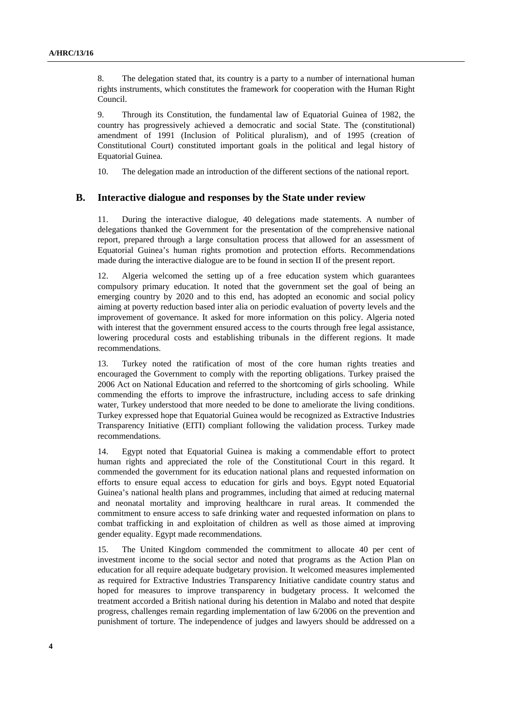8. The delegation stated that, its country is a party to a number of international human rights instruments, which constitutes the framework for cooperation with the Human Right Council.

9. Through its Constitution, the fundamental law of Equatorial Guinea of 1982, the country has progressively achieved a democratic and social State. The (constitutional) amendment of 1991 (Inclusion of Political pluralism), and of 1995 (creation of Constitutional Court) constituted important goals in the political and legal history of Equatorial Guinea.

10. The delegation made an introduction of the different sections of the national report.

#### **B. Interactive dialogue and responses by the State under review**

11. During the interactive dialogue, 40 delegations made statements. A number of delegations thanked the Government for the presentation of the comprehensive national report, prepared through a large consultation process that allowed for an assessment of Equatorial Guinea's human rights promotion and protection efforts. Recommendations made during the interactive dialogue are to be found in section II of the present report.

12. Algeria welcomed the setting up of a free education system which guarantees compulsory primary education. It noted that the government set the goal of being an emerging country by 2020 and to this end, has adopted an economic and social policy aiming at poverty reduction based inter alia on periodic evaluation of poverty levels and the improvement of governance. It asked for more information on this policy. Algeria noted with interest that the government ensured access to the courts through free legal assistance, lowering procedural costs and establishing tribunals in the different regions. It made recommendations.

13. Turkey noted the ratification of most of the core human rights treaties and encouraged the Government to comply with the reporting obligations. Turkey praised the 2006 Act on National Education and referred to the shortcoming of girls schooling. While commending the efforts to improve the infrastructure, including access to safe drinking water, Turkey understood that more needed to be done to ameliorate the living conditions. Turkey expressed hope that Equatorial Guinea would be recognized as Extractive Industries Transparency Initiative (EITI) compliant following the validation process. Turkey made recommendations.

14. Egypt noted that Equatorial Guinea is making a commendable effort to protect human rights and appreciated the role of the Constitutional Court in this regard. It commended the government for its education national plans and requested information on efforts to ensure equal access to education for girls and boys. Egypt noted Equatorial Guinea's national health plans and programmes, including that aimed at reducing maternal and neonatal mortality and improving healthcare in rural areas. It commended the commitment to ensure access to safe drinking water and requested information on plans to combat trafficking in and exploitation of children as well as those aimed at improving gender equality. Egypt made recommendations.

15. The United Kingdom commended the commitment to allocate 40 per cent of investment income to the social sector and noted that programs as the Action Plan on education for all require adequate budgetary provision. It welcomed measures implemented as required for Extractive Industries Transparency Initiative candidate country status and hoped for measures to improve transparency in budgetary process. It welcomed the treatment accorded a British national during his detention in Malabo and noted that despite progress, challenges remain regarding implementation of law 6/2006 on the prevention and punishment of torture. The independence of judges and lawyers should be addressed on a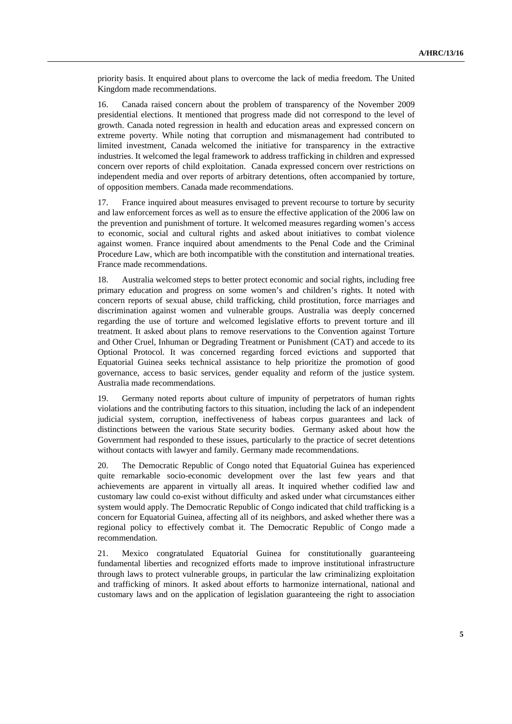priority basis. It enquired about plans to overcome the lack of media freedom. The United Kingdom made recommendations.

16. Canada raised concern about the problem of transparency of the November 2009 presidential elections. It mentioned that progress made did not correspond to the level of growth. Canada noted regression in health and education areas and expressed concern on extreme poverty. While noting that corruption and mismanagement had contributed to limited investment, Canada welcomed the initiative for transparency in the extractive industries. It welcomed the legal framework to address trafficking in children and expressed concern over reports of child exploitation. Canada expressed concern over restrictions on independent media and over reports of arbitrary detentions, often accompanied by torture, of opposition members. Canada made recommendations.

17. France inquired about measures envisaged to prevent recourse to torture by security and law enforcement forces as well as to ensure the effective application of the 2006 law on the prevention and punishment of torture. It welcomed measures regarding women's access to economic, social and cultural rights and asked about initiatives to combat violence against women. France inquired about amendments to the Penal Code and the Criminal Procedure Law, which are both incompatible with the constitution and international treaties. France made recommendations.

18. Australia welcomed steps to better protect economic and social rights, including free primary education and progress on some women's and children's rights. It noted with concern reports of sexual abuse, child trafficking, child prostitution, force marriages and discrimination against women and vulnerable groups. Australia was deeply concerned regarding the use of torture and welcomed legislative efforts to prevent torture and ill treatment. It asked about plans to remove reservations to the Convention against Torture and Other Cruel, Inhuman or Degrading Treatment or Punishment (CAT) and accede to its Optional Protocol. It was concerned regarding forced evictions and supported that Equatorial Guinea seeks technical assistance to help prioritize the promotion of good governance, access to basic services, gender equality and reform of the justice system. Australia made recommendations.

19. Germany noted reports about culture of impunity of perpetrators of human rights violations and the contributing factors to this situation, including the lack of an independent judicial system, corruption, ineffectiveness of habeas corpus guarantees and lack of distinctions between the various State security bodies. Germany asked about how the Government had responded to these issues, particularly to the practice of secret detentions without contacts with lawyer and family. Germany made recommendations.

20. The Democratic Republic of Congo noted that Equatorial Guinea has experienced quite remarkable socio-economic development over the last few years and that achievements are apparent in virtually all areas. It inquired whether codified law and customary law could co-exist without difficulty and asked under what circumstances either system would apply. The Democratic Republic of Congo indicated that child trafficking is a concern for Equatorial Guinea, affecting all of its neighbors, and asked whether there was a regional policy to effectively combat it. The Democratic Republic of Congo made a recommendation.

21. Mexico congratulated Equatorial Guinea for constitutionally guaranteeing fundamental liberties and recognized efforts made to improve institutional infrastructure through laws to protect vulnerable groups, in particular the law criminalizing exploitation and trafficking of minors. It asked about efforts to harmonize international, national and customary laws and on the application of legislation guaranteeing the right to association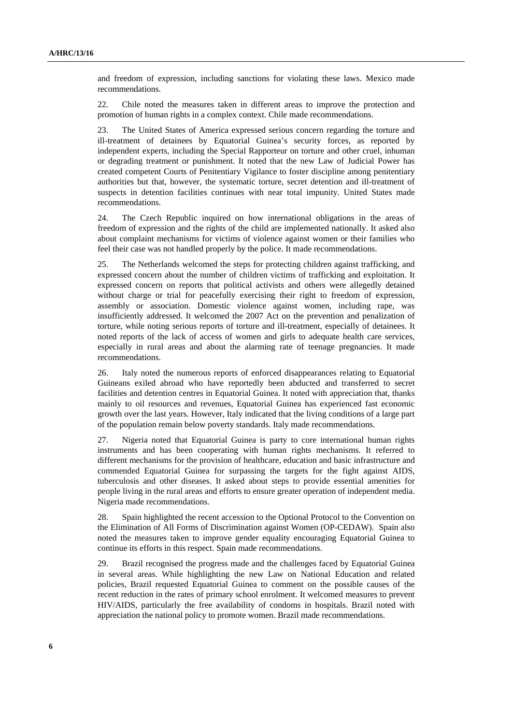and freedom of expression, including sanctions for violating these laws. Mexico made recommendations.

22. Chile noted the measures taken in different areas to improve the protection and promotion of human rights in a complex context. Chile made recommendations.

23. The United States of America expressed serious concern regarding the torture and ill-treatment of detainees by Equatorial Guinea's security forces, as reported by independent experts, including the Special Rapporteur on torture and other cruel, inhuman or degrading treatment or punishment. It noted that the new Law of Judicial Power has created competent Courts of Penitentiary Vigilance to foster discipline among penitentiary authorities but that, however, the systematic torture, secret detention and ill-treatment of suspects in detention facilities continues with near total impunity. United States made recommendations.

24. The Czech Republic inquired on how international obligations in the areas of freedom of expression and the rights of the child are implemented nationally. It asked also about complaint mechanisms for victims of violence against women or their families who feel their case was not handled properly by the police. It made recommendations.

25. The Netherlands welcomed the steps for protecting children against trafficking, and expressed concern about the number of children victims of trafficking and exploitation. It expressed concern on reports that political activists and others were allegedly detained without charge or trial for peacefully exercising their right to freedom of expression, assembly or association. Domestic violence against women, including rape, was insufficiently addressed. It welcomed the 2007 Act on the prevention and penalization of torture, while noting serious reports of torture and ill-treatment, especially of detainees. It noted reports of the lack of access of women and girls to adequate health care services, especially in rural areas and about the alarming rate of teenage pregnancies. It made recommendations.

26. Italy noted the numerous reports of enforced disappearances relating to Equatorial Guineans exiled abroad who have reportedly been abducted and transferred to secret facilities and detention centres in Equatorial Guinea. It noted with appreciation that, thanks mainly to oil resources and revenues, Equatorial Guinea has experienced fast economic growth over the last years. However, Italy indicated that the living conditions of a large part of the population remain below poverty standards. Italy made recommendations.

27. Nigeria noted that Equatorial Guinea is party to core international human rights instruments and has been cooperating with human rights mechanisms. It referred to different mechanisms for the provision of healthcare, education and basic infrastructure and commended Equatorial Guinea for surpassing the targets for the fight against AIDS, tuberculosis and other diseases. It asked about steps to provide essential amenities for people living in the rural areas and efforts to ensure greater operation of independent media. Nigeria made recommendations.

28. Spain highlighted the recent accession to the Optional Protocol to the Convention on the Elimination of All Forms of Discrimination against Women (OP-CEDAW). Spain also noted the measures taken to improve gender equality encouraging Equatorial Guinea to continue its efforts in this respect. Spain made recommendations.

29. Brazil recognised the progress made and the challenges faced by Equatorial Guinea in several areas. While highlighting the new Law on National Education and related policies, Brazil requested Equatorial Guinea to comment on the possible causes of the recent reduction in the rates of primary school enrolment. It welcomed measures to prevent HIV/AIDS, particularly the free availability of condoms in hospitals. Brazil noted with appreciation the national policy to promote women. Brazil made recommendations.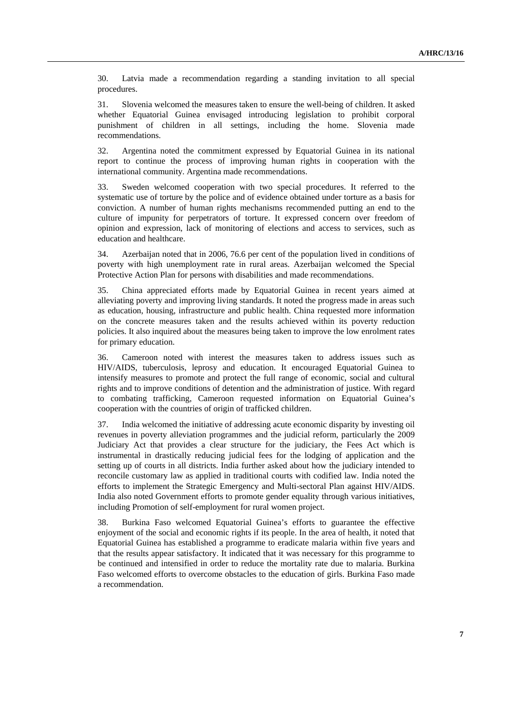30. Latvia made a recommendation regarding a standing invitation to all special procedures.

31. Slovenia welcomed the measures taken to ensure the well-being of children. It asked whether Equatorial Guinea envisaged introducing legislation to prohibit corporal punishment of children in all settings, including the home. Slovenia made recommendations.

32. Argentina noted the commitment expressed by Equatorial Guinea in its national report to continue the process of improving human rights in cooperation with the international community. Argentina made recommendations.

33. Sweden welcomed cooperation with two special procedures. It referred to the systematic use of torture by the police and of evidence obtained under torture as a basis for conviction. A number of human rights mechanisms recommended putting an end to the culture of impunity for perpetrators of torture. It expressed concern over freedom of opinion and expression, lack of monitoring of elections and access to services, such as education and healthcare.

34. Azerbaijan noted that in 2006, 76.6 per cent of the population lived in conditions of poverty with high unemployment rate in rural areas. Azerbaijan welcomed the Special Protective Action Plan for persons with disabilities and made recommendations.

35. China appreciated efforts made by Equatorial Guinea in recent years aimed at alleviating poverty and improving living standards. It noted the progress made in areas such as education, housing, infrastructure and public health. China requested more information on the concrete measures taken and the results achieved within its poverty reduction policies. It also inquired about the measures being taken to improve the low enrolment rates for primary education.

36. Cameroon noted with interest the measures taken to address issues such as HIV/AIDS, tuberculosis, leprosy and education. It encouraged Equatorial Guinea to intensify measures to promote and protect the full range of economic, social and cultural rights and to improve conditions of detention and the administration of justice. With regard to combating trafficking, Cameroon requested information on Equatorial Guinea's cooperation with the countries of origin of trafficked children.

37. India welcomed the initiative of addressing acute economic disparity by investing oil revenues in poverty alleviation programmes and the judicial reform, particularly the 2009 Judiciary Act that provides a clear structure for the judiciary, the Fees Act which is instrumental in drastically reducing judicial fees for the lodging of application and the setting up of courts in all districts. India further asked about how the judiciary intended to reconcile customary law as applied in traditional courts with codified law. India noted the efforts to implement the Strategic Emergency and Multi-sectoral Plan against HIV/AIDS. India also noted Government efforts to promote gender equality through various initiatives, including Promotion of self-employment for rural women project.

38. Burkina Faso welcomed Equatorial Guinea's efforts to guarantee the effective enjoyment of the social and economic rights if its people. In the area of health, it noted that Equatorial Guinea has established a programme to eradicate malaria within five years and that the results appear satisfactory. It indicated that it was necessary for this programme to be continued and intensified in order to reduce the mortality rate due to malaria. Burkina Faso welcomed efforts to overcome obstacles to the education of girls. Burkina Faso made a recommendation.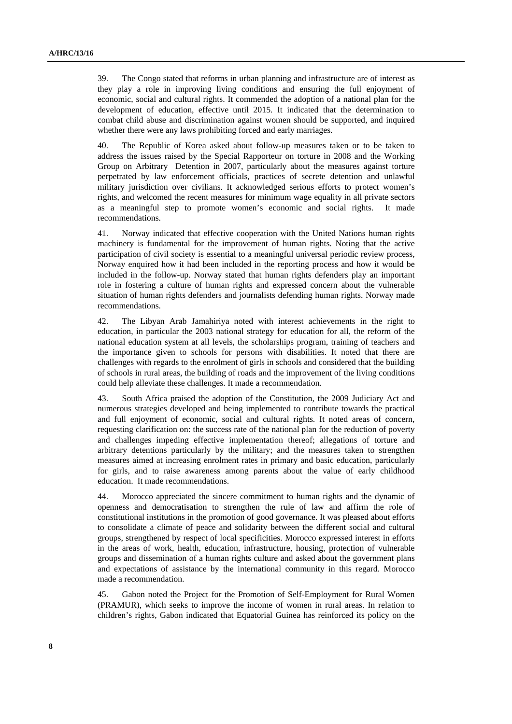39. The Congo stated that reforms in urban planning and infrastructure are of interest as they play a role in improving living conditions and ensuring the full enjoyment of economic, social and cultural rights. It commended the adoption of a national plan for the development of education, effective until 2015. It indicated that the determination to combat child abuse and discrimination against women should be supported, and inquired whether there were any laws prohibiting forced and early marriages.

40. The Republic of Korea asked about follow-up measures taken or to be taken to address the issues raised by the Special Rapporteur on torture in 2008 and the Working Group on Arbitrary Detention in 2007, particularly about the measures against torture perpetrated by law enforcement officials, practices of secrete detention and unlawful military jurisdiction over civilians. It acknowledged serious efforts to protect women's rights, and welcomed the recent measures for minimum wage equality in all private sectors as a meaningful step to promote women's economic and social rights. It made recommendations.

41. Norway indicated that effective cooperation with the United Nations human rights machinery is fundamental for the improvement of human rights. Noting that the active participation of civil society is essential to a meaningful universal periodic review process, Norway enquired how it had been included in the reporting process and how it would be included in the follow-up. Norway stated that human rights defenders play an important role in fostering a culture of human rights and expressed concern about the vulnerable situation of human rights defenders and journalists defending human rights. Norway made recommendations.

42. The Libyan Arab Jamahiriya noted with interest achievements in the right to education, in particular the 2003 national strategy for education for all, the reform of the national education system at all levels, the scholarships program, training of teachers and the importance given to schools for persons with disabilities. It noted that there are challenges with regards to the enrolment of girls in schools and considered that the building of schools in rural areas, the building of roads and the improvement of the living conditions could help alleviate these challenges. It made a recommendation.

43. South Africa praised the adoption of the Constitution, the 2009 Judiciary Act and numerous strategies developed and being implemented to contribute towards the practical and full enjoyment of economic, social and cultural rights. It noted areas of concern, requesting clarification on: the success rate of the national plan for the reduction of poverty and challenges impeding effective implementation thereof; allegations of torture and arbitrary detentions particularly by the military; and the measures taken to strengthen measures aimed at increasing enrolment rates in primary and basic education, particularly for girls, and to raise awareness among parents about the value of early childhood education. It made recommendations.

44. Morocco appreciated the sincere commitment to human rights and the dynamic of openness and democratisation to strengthen the rule of law and affirm the role of constitutional institutions in the promotion of good governance. It was pleased about efforts to consolidate a climate of peace and solidarity between the different social and cultural groups, strengthened by respect of local specificities. Morocco expressed interest in efforts in the areas of work, health, education, infrastructure, housing, protection of vulnerable groups and dissemination of a human rights culture and asked about the government plans and expectations of assistance by the international community in this regard. Morocco made a recommendation.

45. Gabon noted the Project for the Promotion of Self-Employment for Rural Women (PRAMUR), which seeks to improve the income of women in rural areas. In relation to children's rights, Gabon indicated that Equatorial Guinea has reinforced its policy on the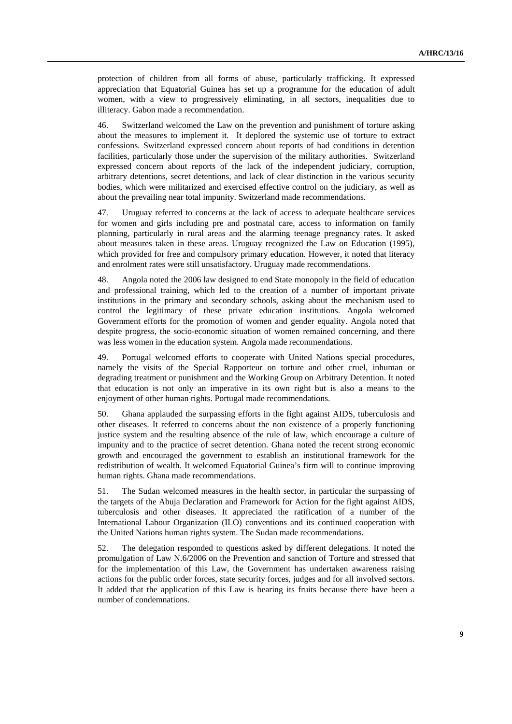protection of children from all forms of abuse, particularly trafficking. It expressed appreciation that Equatorial Guinea has set up a programme for the education of adult women, with a view to progressively eliminating, in all sectors, inequalities due to illiteracy. Gabon made a recommendation.

46. Switzerland welcomed the Law on the prevention and punishment of torture asking about the measures to implement it. It deplored the systemic use of torture to extract confessions. Switzerland expressed concern about reports of bad conditions in detention facilities, particularly those under the supervision of the military authorities. Switzerland expressed concern about reports of the lack of the independent judiciary, corruption, arbitrary detentions, secret detentions, and lack of clear distinction in the various security bodies, which were militarized and exercised effective control on the judiciary, as well as about the prevailing near total impunity. Switzerland made recommendations.

47. Uruguay referred to concerns at the lack of access to adequate healthcare services for women and girls including pre and postnatal care, access to information on family planning, particularly in rural areas and the alarming teenage pregnancy rates. It asked about measures taken in these areas. Uruguay recognized the Law on Education (1995), which provided for free and compulsory primary education. However, it noted that literacy and enrolment rates were still unsatisfactory. Uruguay made recommendations.

48. Angola noted the 2006 law designed to end State monopoly in the field of education and professional training, which led to the creation of a number of important private institutions in the primary and secondary schools, asking about the mechanism used to control the legitimacy of these private education institutions. Angola welcomed Government efforts for the promotion of women and gender equality. Angola noted that despite progress, the socio-economic situation of women remained concerning, and there was less women in the education system. Angola made recommendations.

49. Portugal welcomed efforts to cooperate with United Nations special procedures, namely the visits of the Special Rapporteur on torture and other cruel, inhuman or degrading treatment or punishment and the Working Group on Arbitrary Detention. It noted that education is not only an imperative in its own right but is also a means to the enjoyment of other human rights. Portugal made recommendations.

50. Ghana applauded the surpassing efforts in the fight against AIDS, tuberculosis and other diseases. It referred to concerns about the non existence of a properly functioning justice system and the resulting absence of the rule of law, which encourage a culture of impunity and to the practice of secret detention. Ghana noted the recent strong economic growth and encouraged the government to establish an institutional framework for the redistribution of wealth. It welcomed Equatorial Guinea's firm will to continue improving human rights. Ghana made recommendations.

51. The Sudan welcomed measures in the health sector, in particular the surpassing of the targets of the Abuja Declaration and Framework for Action for the fight against AIDS, tuberculosis and other diseases. It appreciated the ratification of a number of the International Labour Organization (ILO) conventions and its continued cooperation with the United Nations human rights system. The Sudan made recommendations.

52. The delegation responded to questions asked by different delegations. It noted the promulgation of Law N.6/2006 on the Prevention and sanction of Torture and stressed that for the implementation of this Law, the Government has undertaken awareness raising actions for the public order forces, state security forces, judges and for all involved sectors. It added that the application of this Law is bearing its fruits because there have been a number of condemnations.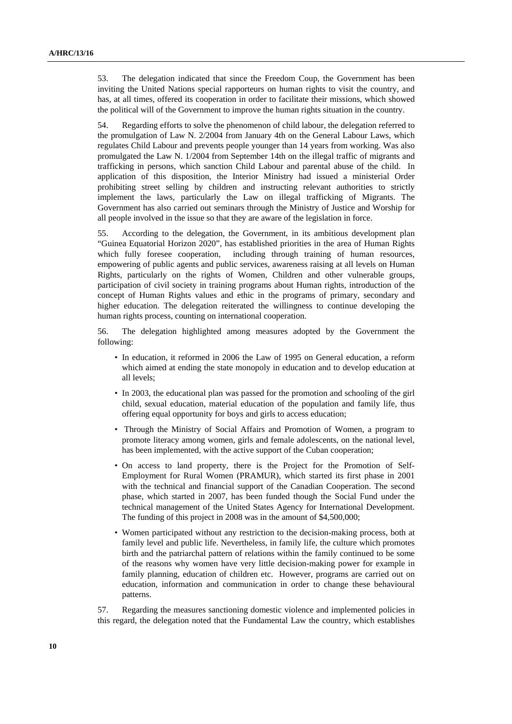53. The delegation indicated that since the Freedom Coup, the Government has been inviting the United Nations special rapporteurs on human rights to visit the country, and has, at all times, offered its cooperation in order to facilitate their missions, which showed the political will of the Government to improve the human rights situation in the country.

54. Regarding efforts to solve the phenomenon of child labour, the delegation referred to the promulgation of Law N. 2/2004 from January 4th on the General Labour Laws, which regulates Child Labour and prevents people younger than 14 years from working. Was also promulgated the Law N. 1/2004 from September 14th on the illegal traffic of migrants and trafficking in persons, which sanction Child Labour and parental abuse of the child. In application of this disposition, the Interior Ministry had issued a ministerial Order prohibiting street selling by children and instructing relevant authorities to strictly implement the laws, particularly the Law on illegal trafficking of Migrants. The Government has also carried out seminars through the Ministry of Justice and Worship for all people involved in the issue so that they are aware of the legislation in force.

55. According to the delegation, the Government, in its ambitious development plan "Guinea Equatorial Horizon 2020", has established priorities in the area of Human Rights which fully foresee cooperation, including through training of human resources, empowering of public agents and public services, awareness raising at all levels on Human Rights, particularly on the rights of Women, Children and other vulnerable groups, participation of civil society in training programs about Human rights, introduction of the concept of Human Rights values and ethic in the programs of primary, secondary and higher education. The delegation reiterated the willingness to continue developing the human rights process, counting on international cooperation.

56. The delegation highlighted among measures adopted by the Government the following:

- In education, it reformed in 2006 the Law of 1995 on General education, a reform which aimed at ending the state monopoly in education and to develop education at all levels;
- In 2003, the educational plan was passed for the promotion and schooling of the girl child, sexual education, material education of the population and family life, thus offering equal opportunity for boys and girls to access education;
- Through the Ministry of Social Affairs and Promotion of Women, a program to promote literacy among women, girls and female adolescents, on the national level, has been implemented, with the active support of the Cuban cooperation;
- On access to land property, there is the Project for the Promotion of Self-Employment for Rural Women (PRAMUR), which started its first phase in 2001 with the technical and financial support of the Canadian Cooperation. The second phase, which started in 2007, has been funded though the Social Fund under the technical management of the United States Agency for International Development. The funding of this project in 2008 was in the amount of \$4,500,000;
- Women participated without any restriction to the decision-making process, both at family level and public life. Nevertheless, in family life, the culture which promotes birth and the patriarchal pattern of relations within the family continued to be some of the reasons why women have very little decision-making power for example in family planning, education of children etc. However, programs are carried out on education, information and communication in order to change these behavioural patterns.

57. Regarding the measures sanctioning domestic violence and implemented policies in this regard, the delegation noted that the Fundamental Law the country, which establishes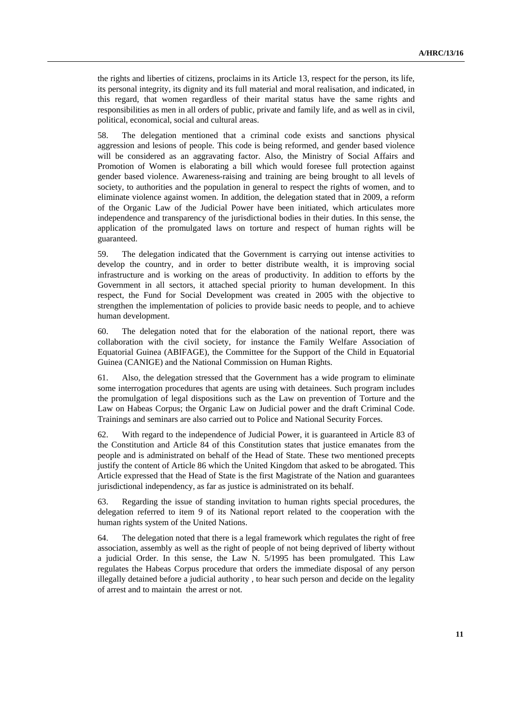the rights and liberties of citizens, proclaims in its Article 13, respect for the person, its life, its personal integrity, its dignity and its full material and moral realisation, and indicated, in this regard, that women regardless of their marital status have the same rights and responsibilities as men in all orders of public, private and family life, and as well as in civil, political, economical, social and cultural areas.

58. The delegation mentioned that a criminal code exists and sanctions physical aggression and lesions of people. This code is being reformed, and gender based violence will be considered as an aggravating factor. Also, the Ministry of Social Affairs and Promotion of Women is elaborating a bill which would foresee full protection against gender based violence. Awareness-raising and training are being brought to all levels of society, to authorities and the population in general to respect the rights of women, and to eliminate violence against women. In addition, the delegation stated that in 2009, a reform of the Organic Law of the Judicial Power have been initiated, which articulates more independence and transparency of the jurisdictional bodies in their duties. In this sense, the application of the promulgated laws on torture and respect of human rights will be guaranteed.

59. The delegation indicated that the Government is carrying out intense activities to develop the country, and in order to better distribute wealth, it is improving social infrastructure and is working on the areas of productivity. In addition to efforts by the Government in all sectors, it attached special priority to human development. In this respect, the Fund for Social Development was created in 2005 with the objective to strengthen the implementation of policies to provide basic needs to people, and to achieve human development.

60. The delegation noted that for the elaboration of the national report, there was collaboration with the civil society, for instance the Family Welfare Association of Equatorial Guinea (ABIFAGE), the Committee for the Support of the Child in Equatorial Guinea (CANIGE) and the National Commission on Human Rights.

61. Also, the delegation stressed that the Government has a wide program to eliminate some interrogation procedures that agents are using with detainees. Such program includes the promulgation of legal dispositions such as the Law on prevention of Torture and the Law on Habeas Corpus; the Organic Law on Judicial power and the draft Criminal Code. Trainings and seminars are also carried out to Police and National Security Forces.

62. With regard to the independence of Judicial Power, it is guaranteed in Article 83 of the Constitution and Article 84 of this Constitution states that justice emanates from the people and is administrated on behalf of the Head of State. These two mentioned precepts justify the content of Article 86 which the United Kingdom that asked to be abrogated. This Article expressed that the Head of State is the first Magistrate of the Nation and guarantees jurisdictional independency, as far as justice is administrated on its behalf.

63. Regarding the issue of standing invitation to human rights special procedures, the delegation referred to item 9 of its National report related to the cooperation with the human rights system of the United Nations.

64. The delegation noted that there is a legal framework which regulates the right of free association, assembly as well as the right of people of not being deprived of liberty without a judicial Order. In this sense, the Law N. 5/1995 has been promulgated. This Law regulates the Habeas Corpus procedure that orders the immediate disposal of any person illegally detained before a judicial authority , to hear such person and decide on the legality of arrest and to maintain the arrest or not.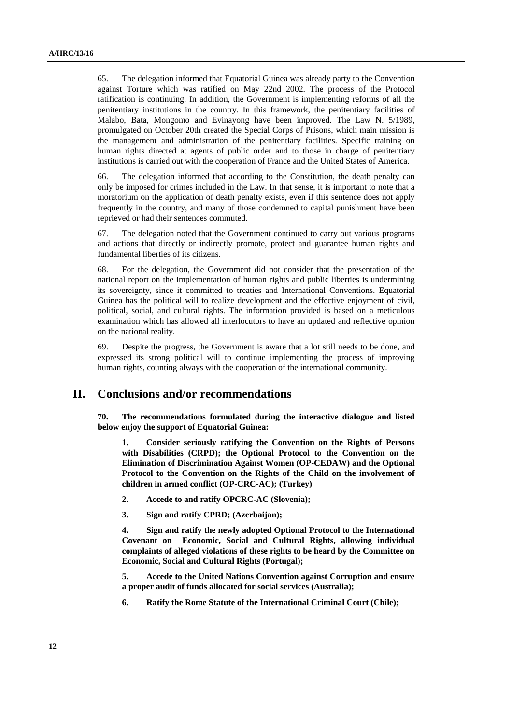65. The delegation informed that Equatorial Guinea was already party to the Convention against Torture which was ratified on May 22nd 2002. The process of the Protocol ratification is continuing. In addition, the Government is implementing reforms of all the penitentiary institutions in the country. In this framework, the penitentiary facilities of Malabo, Bata, Mongomo and Evinayong have been improved. The Law N. 5/1989, promulgated on October 20th created the Special Corps of Prisons, which main mission is the management and administration of the penitentiary facilities. Specific training on human rights directed at agents of public order and to those in charge of penitentiary institutions is carried out with the cooperation of France and the United States of America.

66. The delegation informed that according to the Constitution, the death penalty can only be imposed for crimes included in the Law. In that sense, it is important to note that a moratorium on the application of death penalty exists, even if this sentence does not apply frequently in the country, and many of those condemned to capital punishment have been reprieved or had their sentences commuted.

67. The delegation noted that the Government continued to carry out various programs and actions that directly or indirectly promote, protect and guarantee human rights and fundamental liberties of its citizens.

68. For the delegation, the Government did not consider that the presentation of the national report on the implementation of human rights and public liberties is undermining its sovereignty, since it committed to treaties and International Conventions. Equatorial Guinea has the political will to realize development and the effective enjoyment of civil, political, social, and cultural rights. The information provided is based on a meticulous examination which has allowed all interlocutors to have an updated and reflective opinion on the national reality.

69. Despite the progress, the Government is aware that a lot still needs to be done, and expressed its strong political will to continue implementing the process of improving human rights, counting always with the cooperation of the international community.

### **II. Conclusions and/or recommendations**

**70. The recommendations formulated during the interactive dialogue and listed below enjoy the support of Equatorial Guinea:** 

**1. Consider seriously ratifying the Convention on the Rights of Persons with Disabilities (CRPD); the Optional Protocol to the Convention on the Elimination of Discrimination Against Women (OP-CEDAW) and the Optional Protocol to the Convention on the Rights of the Child on the involvement of children in armed conflict (OP-CRC-AC); (Turkey)** 

- **2. Accede to and ratify OPCRC-AC (Slovenia);**
- **3. Sign and ratify CPRD; (Azerbaijan);**

**4. Sign and ratify the newly adopted Optional Protocol to the International Covenant on Economic, Social and Cultural Rights, allowing individual complaints of alleged violations of these rights to be heard by the Committee on Economic, Social and Cultural Rights (Portugal);** 

**5. Accede to the United Nations Convention against Corruption and ensure a proper audit of funds allocated for social services (Australia);** 

**6. Ratify the Rome Statute of the International Criminal Court (Chile);**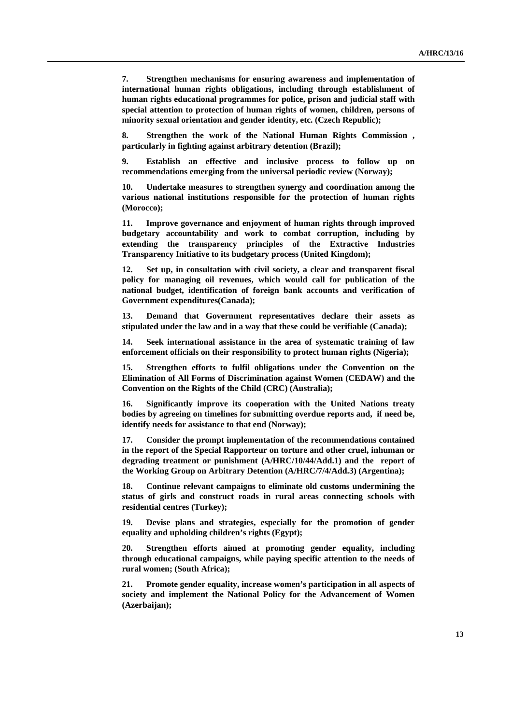**7. Strengthen mechanisms for ensuring awareness and implementation of international human rights obligations, including through establishment of human rights educational programmes for police, prison and judicial staff with special attention to protection of human rights of women, children, persons of minority sexual orientation and gender identity, etc. (Czech Republic);** 

**8. Strengthen the work of the National Human Rights Commission , particularly in fighting against arbitrary detention (Brazil);** 

**9. Establish an effective and inclusive process to follow up on recommendations emerging from the universal periodic review (Norway);** 

**10. Undertake measures to strengthen synergy and coordination among the various national institutions responsible for the protection of human rights (Morocco);** 

**11. Improve governance and enjoyment of human rights through improved budgetary accountability and work to combat corruption, including by extending the transparency principles of the Extractive Industries Transparency Initiative to its budgetary process (United Kingdom);** 

**12. Set up, in consultation with civil society, a clear and transparent fiscal policy for managing oil revenues, which would call for publication of the national budget, identification of foreign bank accounts and verification of Government expenditures(Canada);** 

**13. Demand that Government representatives declare their assets as stipulated under the law and in a way that these could be verifiable (Canada);** 

**14. Seek international assistance in the area of systematic training of law enforcement officials on their responsibility to protect human rights (Nigeria);** 

**15. Strengthen efforts to fulfil obligations under the Convention on the Elimination of All Forms of Discrimination against Women (CEDAW) and the Convention on the Rights of the Child (CRC) (Australia);** 

**16. Significantly improve its cooperation with the United Nations treaty bodies by agreeing on timelines for submitting overdue reports and, if need be, identify needs for assistance to that end (Norway);** 

**17. Consider the prompt implementation of the recommendations contained in the report of the Special Rapporteur on torture and other cruel, inhuman or degrading treatment or punishment (A/HRC/10/44/Add.1) and the report of the Working Group on Arbitrary Detention (A/HRC/7/4/Add.3) (Argentina);** 

**18. Continue relevant campaigns to eliminate old customs undermining the status of girls and construct roads in rural areas connecting schools with residential centres (Turkey);** 

**19. Devise plans and strategies, especially for the promotion of gender equality and upholding children's rights (Egypt);** 

**20. Strengthen efforts aimed at promoting gender equality, including through educational campaigns, while paying specific attention to the needs of rural women; (South Africa);** 

**21. Promote gender equality, increase women's participation in all aspects of society and implement the National Policy for the Advancement of Women (Azerbaijan);**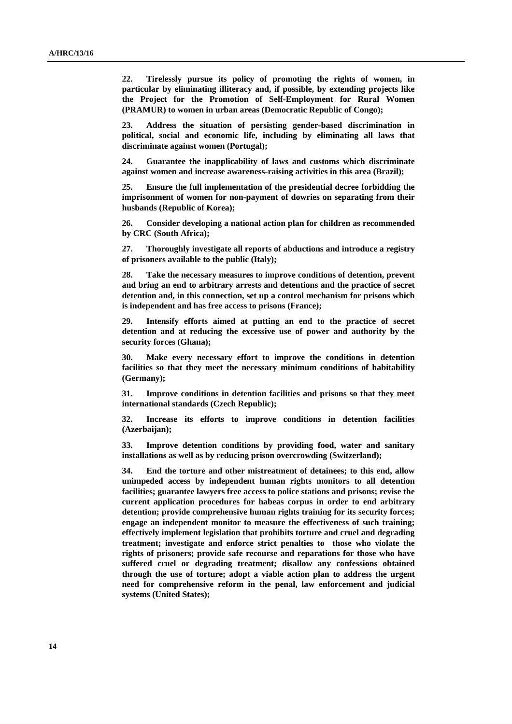**22. Tirelessly pursue its policy of promoting the rights of women, in particular by eliminating illiteracy and, if possible, by extending projects like the Project for the Promotion of Self-Employment for Rural Women (PRAMUR) to women in urban areas (Democratic Republic of Congo);** 

**23. Address the situation of persisting gender-based discrimination in political, social and economic life, including by eliminating all laws that discriminate against women (Portugal);** 

**24. Guarantee the inapplicability of laws and customs which discriminate against women and increase awareness-raising activities in this area (Brazil);** 

**25. Ensure the full implementation of the presidential decree forbidding the imprisonment of women for non-payment of dowries on separating from their husbands (Republic of Korea);** 

**26. Consider developing a national action plan for children as recommended by CRC (South Africa);** 

**27. Thoroughly investigate all reports of abductions and introduce a registry of prisoners available to the public (Italy);** 

**28. Take the necessary measures to improve conditions of detention, prevent and bring an end to arbitrary arrests and detentions and the practice of secret detention and, in this connection, set up a control mechanism for prisons which is independent and has free access to prisons (France);** 

**29. Intensify efforts aimed at putting an end to the practice of secret detention and at reducing the excessive use of power and authority by the security forces (Ghana);** 

**30. Make every necessary effort to improve the conditions in detention facilities so that they meet the necessary minimum conditions of habitability (Germany);** 

**31. Improve conditions in detention facilities and prisons so that they meet international standards (Czech Republic);** 

**32. Increase its efforts to improve conditions in detention facilities (Azerbaijan);** 

**33. Improve detention conditions by providing food, water and sanitary installations as well as by reducing prison overcrowding (Switzerland);** 

**34. End the torture and other mistreatment of detainees; to this end, allow unimpeded access by independent human rights monitors to all detention facilities; guarantee lawyers free access to police stations and prisons; revise the current application procedures for habeas corpus in order to end arbitrary detention; provide comprehensive human rights training for its security forces; engage an independent monitor to measure the effectiveness of such training; effectively implement legislation that prohibits torture and cruel and degrading treatment; investigate and enforce strict penalties to those who violate the rights of prisoners; provide safe recourse and reparations for those who have suffered cruel or degrading treatment; disallow any confessions obtained through the use of torture; adopt a viable action plan to address the urgent need for comprehensive reform in the penal, law enforcement and judicial systems (United States);**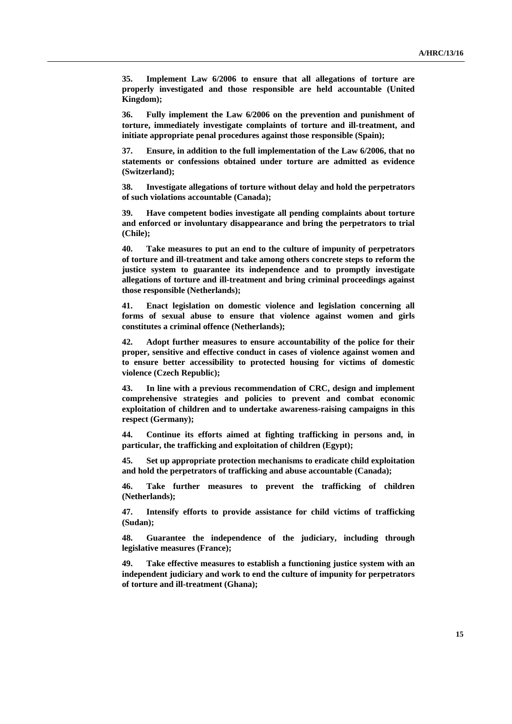**35. Implement Law 6/2006 to ensure that all allegations of torture are properly investigated and those responsible are held accountable (United Kingdom);** 

**36. Fully implement the Law 6/2006 on the prevention and punishment of torture, immediately investigate complaints of torture and ill-treatment, and initiate appropriate penal procedures against those responsible (Spain);** 

**37. Ensure, in addition to the full implementation of the Law 6/2006, that no statements or confessions obtained under torture are admitted as evidence (Switzerland);** 

**38. Investigate allegations of torture without delay and hold the perpetrators of such violations accountable (Canada);** 

**39. Have competent bodies investigate all pending complaints about torture and enforced or involuntary disappearance and bring the perpetrators to trial (Chile);** 

**40. Take measures to put an end to the culture of impunity of perpetrators of torture and ill-treatment and take among others concrete steps to reform the justice system to guarantee its independence and to promptly investigate allegations of torture and ill-treatment and bring criminal proceedings against those responsible (Netherlands);** 

**41. Enact legislation on domestic violence and legislation concerning all forms of sexual abuse to ensure that violence against women and girls constitutes a criminal offence (Netherlands);** 

**42. Adopt further measures to ensure accountability of the police for their proper, sensitive and effective conduct in cases of violence against women and to ensure better accessibility to protected housing for victims of domestic violence (Czech Republic);** 

**43. In line with a previous recommendation of CRC, design and implement comprehensive strategies and policies to prevent and combat economic exploitation of children and to undertake awareness-raising campaigns in this respect (Germany);** 

**44. Continue its efforts aimed at fighting trafficking in persons and, in particular, the trafficking and exploitation of children (Egypt);** 

**45. Set up appropriate protection mechanisms to eradicate child exploitation and hold the perpetrators of trafficking and abuse accountable (Canada);** 

**46. Take further measures to prevent the trafficking of children (Netherlands);** 

**47. Intensify efforts to provide assistance for child victims of trafficking (Sudan);** 

**48. Guarantee the independence of the judiciary, including through legislative measures (France);** 

**49. Take effective measures to establish a functioning justice system with an independent judiciary and work to end the culture of impunity for perpetrators of torture and ill-treatment (Ghana);**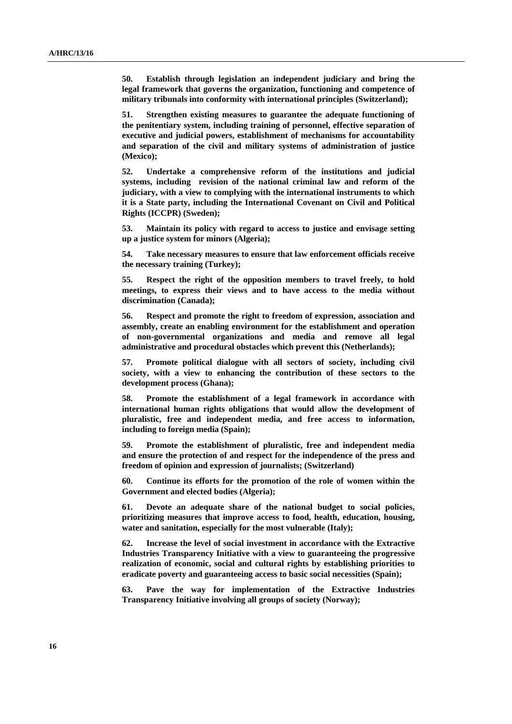**50. Establish through legislation an independent judiciary and bring the legal framework that governs the organization, functioning and competence of military tribunals into conformity with international principles (Switzerland);** 

**51. Strengthen existing measures to guarantee the adequate functioning of the penitentiary system, including training of personnel, effective separation of executive and judicial powers, establishment of mechanisms for accountability and separation of the civil and military systems of administration of justice (Mexico);** 

**52. Undertake a comprehensive reform of the institutions and judicial systems, including revision of the national criminal law and reform of the judiciary, with a view to complying with the international instruments to which it is a State party, including the International Covenant on Civil and Political Rights (ICCPR) (Sweden);** 

**53. Maintain its policy with regard to access to justice and envisage setting up a justice system for minors (Algeria);** 

**54. Take necessary measures to ensure that law enforcement officials receive the necessary training (Turkey);** 

**55. Respect the right of the opposition members to travel freely, to hold meetings, to express their views and to have access to the media without discrimination (Canada);** 

**56. Respect and promote the right to freedom of expression, association and assembly, create an enabling environment for the establishment and operation of non-governmental organizations and media and remove all legal administrative and procedural obstacles which prevent this (Netherlands);** 

**57. Promote political dialogue with all sectors of society, including civil society, with a view to enhancing the contribution of these sectors to the development process (Ghana);** 

**58. Promote the establishment of a legal framework in accordance with international human rights obligations that would allow the development of pluralistic, free and independent media, and free access to information, including to foreign media (Spain);** 

**59. Promote the establishment of pluralistic, free and independent media and ensure the protection of and respect for the independence of the press and freedom of opinion and expression of journalists; (Switzerland)** 

**60. Continue its efforts for the promotion of the role of women within the Government and elected bodies (Algeria);** 

**61. Devote an adequate share of the national budget to social policies, prioritizing measures that improve access to food, health, education, housing, water and sanitation, especially for the most vulnerable (Italy);** 

**62. Increase the level of social investment in accordance with the Extractive Industries Transparency Initiative with a view to guaranteeing the progressive realization of economic, social and cultural rights by establishing priorities to eradicate poverty and guaranteeing access to basic social necessities (Spain);** 

**63. Pave the way for implementation of the Extractive Industries Transparency Initiative involving all groups of society (Norway);**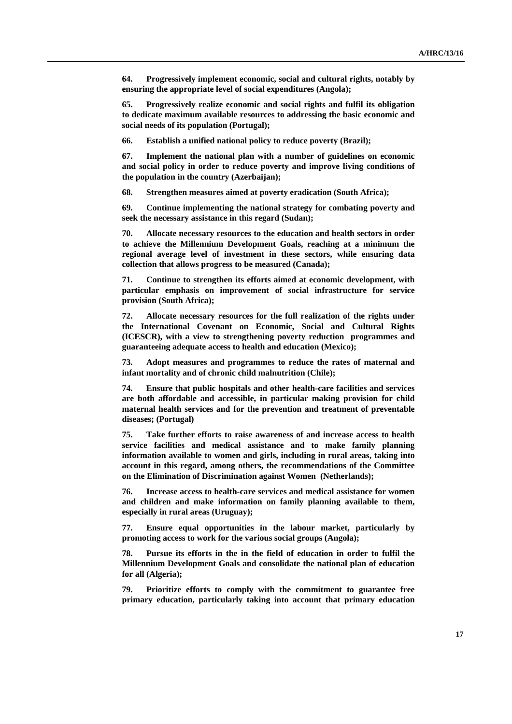**64. Progressively implement economic, social and cultural rights, notably by ensuring the appropriate level of social expenditures (Angola);** 

**65. Progressively realize economic and social rights and fulfil its obligation to dedicate maximum available resources to addressing the basic economic and social needs of its population (Portugal);** 

**66. Establish a unified national policy to reduce poverty (Brazil);** 

**67. Implement the national plan with a number of guidelines on economic and social policy in order to reduce poverty and improve living conditions of the population in the country (Azerbaijan);** 

**68. Strengthen measures aimed at poverty eradication (South Africa);** 

**69. Continue implementing the national strategy for combating poverty and seek the necessary assistance in this regard (Sudan);** 

**70. Allocate necessary resources to the education and health sectors in order to achieve the Millennium Development Goals, reaching at a minimum the regional average level of investment in these sectors, while ensuring data collection that allows progress to be measured (Canada);** 

**71. Continue to strengthen its efforts aimed at economic development, with particular emphasis on improvement of social infrastructure for service provision (South Africa);** 

**72. Allocate necessary resources for the full realization of the rights under the International Covenant on Economic, Social and Cultural Rights (ICESCR), with a view to strengthening poverty reduction programmes and guaranteeing adequate access to health and education (Mexico);** 

**73. Adopt measures and programmes to reduce the rates of maternal and infant mortality and of chronic child malnutrition (Chile);** 

**74. Ensure that public hospitals and other health-care facilities and services are both affordable and accessible, in particular making provision for child maternal health services and for the prevention and treatment of preventable diseases; (Portugal)** 

**75. Take further efforts to raise awareness of and increase access to health service facilities and medical assistance and to make family planning information available to women and girls, including in rural areas, taking into account in this regard, among others, the recommendations of the Committee on the Elimination of Discrimination against Women (Netherlands);** 

**76. Increase access to health-care services and medical assistance for women and children and make information on family planning available to them, especially in rural areas (Uruguay);** 

**77. Ensure equal opportunities in the labour market, particularly by promoting access to work for the various social groups (Angola);** 

**78. Pursue its efforts in the in the field of education in order to fulfil the Millennium Development Goals and consolidate the national plan of education for all (Algeria);** 

**79. Prioritize efforts to comply with the commitment to guarantee free primary education, particularly taking into account that primary education**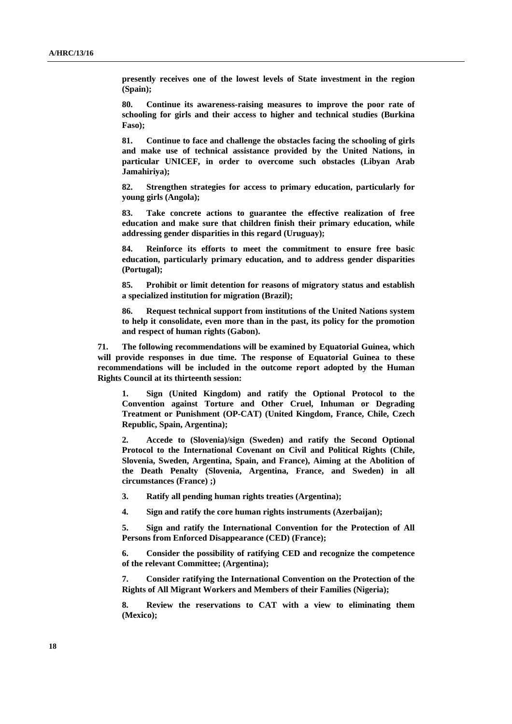**presently receives one of the lowest levels of State investment in the region (Spain);** 

**80. Continue its awareness-raising measures to improve the poor rate of schooling for girls and their access to higher and technical studies (Burkina Faso);** 

**81. Continue to face and challenge the obstacles facing the schooling of girls and make use of technical assistance provided by the United Nations, in particular UNICEF, in order to overcome such obstacles (Libyan Arab Jamahiriya);** 

**82. Strengthen strategies for access to primary education, particularly for young girls (Angola);** 

**83. Take concrete actions to guarantee the effective realization of free education and make sure that children finish their primary education, while addressing gender disparities in this regard (Uruguay);** 

**84. Reinforce its efforts to meet the commitment to ensure free basic education, particularly primary education, and to address gender disparities (Portugal);** 

**85. Prohibit or limit detention for reasons of migratory status and establish a specialized institution for migration (Brazil);** 

**86. Request technical support from institutions of the United Nations system to help it consolidate, even more than in the past, its policy for the promotion and respect of human rights (Gabon).** 

**71. The following recommendations will be examined by Equatorial Guinea, which will provide responses in due time. The response of Equatorial Guinea to these recommendations will be included in the outcome report adopted by the Human Rights Council at its thirteenth session:** 

**1. Sign (United Kingdom) and ratify the Optional Protocol to the Convention against Torture and Other Cruel, Inhuman or Degrading Treatment or Punishment (OP-CAT) (United Kingdom, France, Chile, Czech Republic, Spain, Argentina);** 

**2. Accede to (Slovenia)/sign (Sweden) and ratify the Second Optional Protocol to the International Covenant on Civil and Political Rights (Chile, Slovenia, Sweden, Argentina, Spain, and France), Aiming at the Abolition of the Death Penalty (Slovenia, Argentina, France, and Sweden) in all circumstances (France) ;)** 

**3. Ratify all pending human rights treaties (Argentina);** 

**4. Sign and ratify the core human rights instruments (Azerbaijan);** 

**5. Sign and ratify the International Convention for the Protection of All Persons from Enforced Disappearance (CED) (France);** 

**6. Consider the possibility of ratifying CED and recognize the competence of the relevant Committee; (Argentina);** 

**7. Consider ratifying the International Convention on the Protection of the Rights of All Migrant Workers and Members of their Families (Nigeria);** 

**8. Review the reservations to CAT with a view to eliminating them (Mexico);**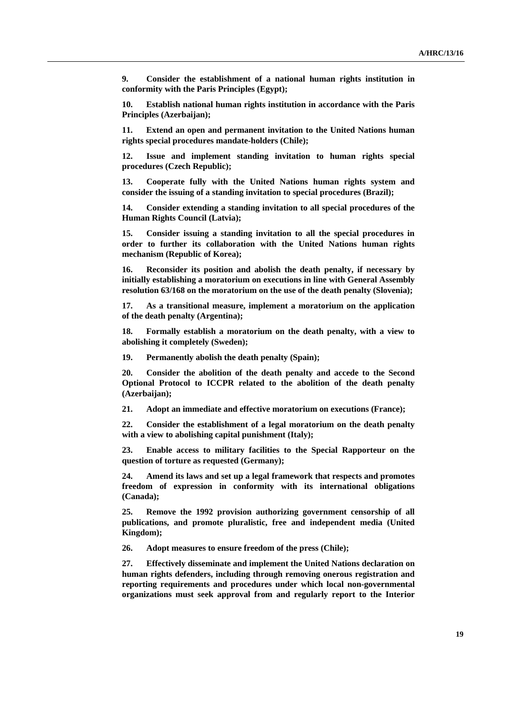**9. Consider the establishment of a national human rights institution in conformity with the Paris Principles (Egypt);** 

**10. Establish national human rights institution in accordance with the Paris Principles (Azerbaijan);** 

**11. Extend an open and permanent invitation to the United Nations human rights special procedures mandate-holders (Chile);** 

**12. Issue and implement standing invitation to human rights special procedures (Czech Republic);** 

**13. Cooperate fully with the United Nations human rights system and consider the issuing of a standing invitation to special procedures (Brazil);** 

**14. Consider extending a standing invitation to all special procedures of the Human Rights Council (Latvia);** 

**15. Consider issuing a standing invitation to all the special procedures in order to further its collaboration with the United Nations human rights mechanism (Republic of Korea);** 

**16. Reconsider its position and abolish the death penalty, if necessary by initially establishing a moratorium on executions in line with General Assembly resolution 63/168 on the moratorium on the use of the death penalty (Slovenia);** 

**17. As a transitional measure, implement a moratorium on the application of the death penalty (Argentina);** 

**18. Formally establish a moratorium on the death penalty, with a view to abolishing it completely (Sweden);** 

**19. Permanently abolish the death penalty (Spain);** 

**20. Consider the abolition of the death penalty and accede to the Second Optional Protocol to ICCPR related to the abolition of the death penalty (Azerbaijan);** 

**21. Adopt an immediate and effective moratorium on executions (France);** 

**22. Consider the establishment of a legal moratorium on the death penalty with a view to abolishing capital punishment (Italy);** 

**23. Enable access to military facilities to the Special Rapporteur on the question of torture as requested (Germany);** 

**24. Amend its laws and set up a legal framework that respects and promotes freedom of expression in conformity with its international obligations (Canada);** 

**25. Remove the 1992 provision authorizing government censorship of all publications, and promote pluralistic, free and independent media (United Kingdom);** 

**26. Adopt measures to ensure freedom of the press (Chile);** 

**27. Effectively disseminate and implement the United Nations declaration on human rights defenders, including through removing onerous registration and reporting requirements and procedures under which local non-governmental organizations must seek approval from and regularly report to the Interior**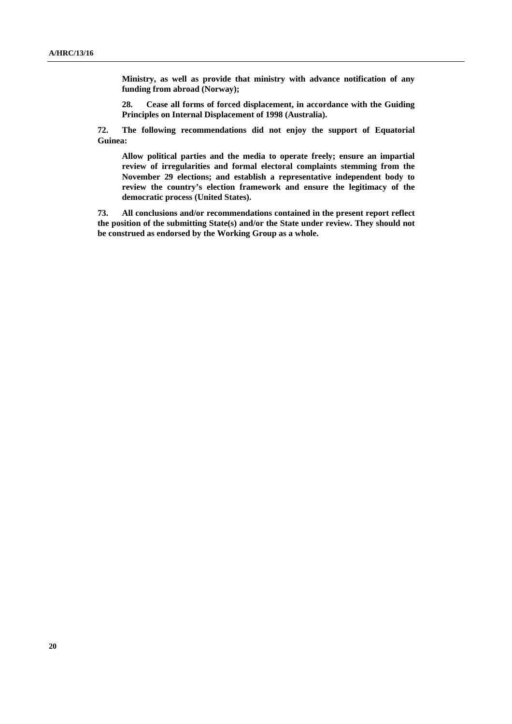**Ministry, as well as provide that ministry with advance notification of any funding from abroad (Norway);** 

**28. Cease all forms of forced displacement, in accordance with the Guiding Principles on Internal Displacement of 1998 (Australia).** 

**72. The following recommendations did not enjoy the support of Equatorial Guinea:** 

**Allow political parties and the media to operate freely; ensure an impartial review of irregularities and formal electoral complaints stemming from the November 29 elections; and establish a representative independent body to review the country's election framework and ensure the legitimacy of the democratic process (United States).** 

**73. All conclusions and/or recommendations contained in the present report reflect the position of the submitting State(s) and/or the State under review. They should not be construed as endorsed by the Working Group as a whole.**